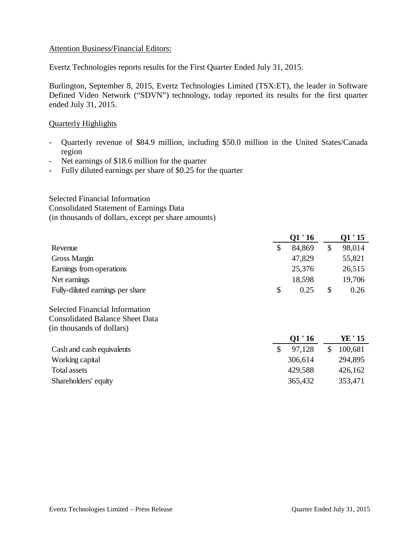#### Attention Business/Financial Editors:

Evertz Technologies reports results for the First Quarter Ended July 31, 2015.

Burlington, September 8, 2015, Evertz Technologies Limited (TSX:ET), the leader in Software Defined Video Network ("SDVN") technology, today reported its results for the first quarter ended July 31, 2015.

## Quarterly Highlights

- Quarterly revenue of \$84.9 million, including \$50.0 million in the United States/Canada region
- Net earnings of \$18.6 million for the quarter
- Fully diluted earnings per share of \$0.25 for the quarter

Selected Financial Information Consolidated Statement of Earnings Data (in thousands of dollars, except per share amounts)

| Q1'16        |              | 01'15   |
|--------------|--------------|---------|
| \$<br>84,869 | $\mathbb{S}$ | 98,014  |
| 47,829       |              | 55,821  |
| 25,376       |              | 26,515  |
| 18,598       |              | 19,706  |
| \$<br>0.25   | \$           | 0.26    |
|              |              |         |
|              |              |         |
|              |              |         |
| Q1'16        |              | YE ' 15 |
| \$<br>97,128 | \$           | 100,681 |
| 306,614      |              | 294,895 |
| 429,588      |              | 426,162 |
| 365,432      |              | 353,471 |
|              |              |         |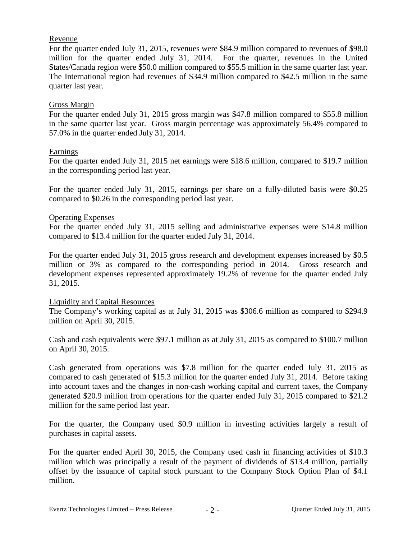# Revenue

For the quarter ended July 31, 2015, revenues were \$84.9 million compared to revenues of \$98.0 million for the quarter ended July 31, 2014. For the quarter, revenues in the United States/Canada region were \$50.0 million compared to \$55.5 million in the same quarter last year. The International region had revenues of \$34.9 million compared to \$42.5 million in the same quarter last year.

# Gross Margin

For the quarter ended July 31, 2015 gross margin was \$47.8 million compared to \$55.8 million in the same quarter last year. Gross margin percentage was approximately 56.4% compared to 57.0% in the quarter ended July 31, 2014.

# Earnings

For the quarter ended July 31, 2015 net earnings were \$18.6 million, compared to \$19.7 million in the corresponding period last year.

For the quarter ended July 31, 2015, earnings per share on a fully-diluted basis were \$0.25 compared to \$0.26 in the corresponding period last year.

#### Operating Expenses

For the quarter ended July 31, 2015 selling and administrative expenses were \$14.8 million compared to \$13.4 million for the quarter ended July 31, 2014.

For the quarter ended July 31, 2015 gross research and development expenses increased by \$0.5 million or 3% as compared to the corresponding period in 2014. Gross research and development expenses represented approximately 19.2% of revenue for the quarter ended July 31, 2015.

#### Liquidity and Capital Resources

The Company's working capital as at July 31, 2015 was \$306.6 million as compared to \$294.9 million on April 30, 2015.

Cash and cash equivalents were \$97.1 million as at July 31, 2015 as compared to \$100.7 million on April 30, 2015.

Cash generated from operations was \$7.8 million for the quarter ended July 31, 2015 as compared to cash generated of \$15.3 million for the quarter ended July 31, 2014. Before taking into account taxes and the changes in non-cash working capital and current taxes, the Company generated \$20.9 million from operations for the quarter ended July 31, 2015 compared to \$21.2 million for the same period last year.

For the quarter, the Company used \$0.9 million in investing activities largely a result of purchases in capital assets.

For the quarter ended April 30, 2015, the Company used cash in financing activities of \$10.3 million which was principally a result of the payment of dividends of \$13.4 million, partially offset by the issuance of capital stock pursuant to the Company Stock Option Plan of \$4.1 million.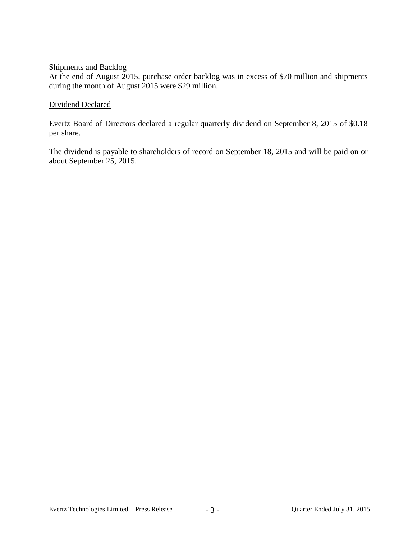# Shipments and Backlog

At the end of August 2015, purchase order backlog was in excess of \$70 million and shipments during the month of August 2015 were \$29 million.

## Dividend Declared

Evertz Board of Directors declared a regular quarterly dividend on September 8, 2015 of \$0.18 per share.

The dividend is payable to shareholders of record on September 18, 2015 and will be paid on or about September 25, 2015.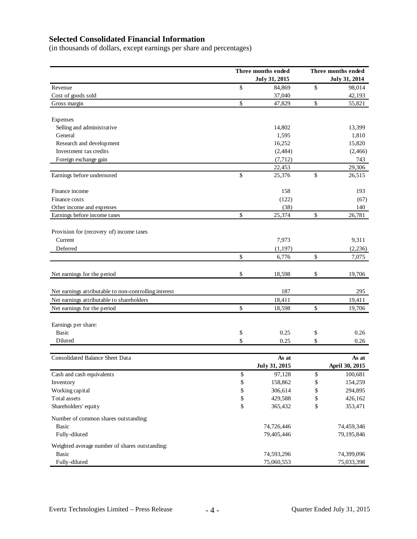# **Selected Consolidated Financial Information**

(in thousands of dollars, except earnings per share and percentages)

|                                                       |              | Three months ended |               | Three months ended |  |
|-------------------------------------------------------|--------------|--------------------|---------------|--------------------|--|
|                                                       |              | July 31, 2015      | July 31, 2014 |                    |  |
| Revenue                                               | \$           | 84,869             | \$            | 98,014             |  |
| Cost of goods sold                                    |              | 37,040             |               | 42,193             |  |
| Gross margin                                          | \$           | 47,829             | \$            | 55,821             |  |
| Expenses                                              |              |                    |               |                    |  |
| Selling and administrative                            |              | 14,802             |               | 13,399             |  |
| General                                               |              | 1,595              |               | 1,810              |  |
| Research and development                              |              | 16,252             |               | 15,820             |  |
| Investment tax credits                                |              | (2,484)            |               | (2,466)            |  |
| Foreign exchange gain                                 |              | (7, 712)           |               | 743                |  |
|                                                       |              | 22,453             |               | 29,306             |  |
| Earnings before undernoted                            | \$           | 25,376             | \$            | 26,515             |  |
| Finance income                                        |              | 158                |               | 193                |  |
| Finance costs                                         |              | (122)              |               | (67)               |  |
| Other income and expenses                             |              | (38)               |               | 140                |  |
| Earnings before income taxes                          | $\mathbb{S}$ | 25,374             | \$            | 26,781             |  |
| Provision for (recovery of) income taxes              |              |                    |               |                    |  |
| Current                                               |              | 7,973              |               | 9,311              |  |
| Deferred                                              |              | (1, 197)           |               | (2, 236)           |  |
|                                                       | $\mathbb{S}$ | 6,776              | \$            | 7,075              |  |
| Net earnings for the period                           | \$           | 18,598             | \$            | 19,706             |  |
| Net earnings attributable to non-controlling interest |              | 187                |               | 295                |  |
| Net earnings attributable to shareholders             |              | 18,411             |               | 19,411             |  |
| Net earnings for the period                           | \$           | 18,598             | \$            | 19,706             |  |
| Earnings per share:                                   |              |                    |               |                    |  |
| Basic                                                 | \$           | 0.25               | \$            | 0.26               |  |
| Diluted                                               | \$           | 0.25               | \$            | 0.26               |  |
| <b>Consolidated Balance Sheet Data</b>                |              | As at              |               | As at              |  |
|                                                       |              | July 31, 2015      |               | April 30, 2015     |  |
| Cash and cash equivalents                             | \$           | 97,128             | \$            | 100,681            |  |
| Inventory                                             | \$           | 158,862            | \$            | 154,259            |  |
| Working capital                                       | \$           | 306,614            | \$            | 294,895            |  |
| Total assets                                          | \$           | 429,588            | \$            | 426,162            |  |
| Shareholders' equity                                  | \$           | 365,432            | \$            | 353,471            |  |
| Number of common shares outstanding:                  |              |                    |               |                    |  |
| <b>Basic</b>                                          |              | 74,726,446         |               | 74,459,346         |  |
| Fully-diluted                                         |              | 79,405,446         |               | 79,195,846         |  |
| Weighted average number of shares outstanding:        |              |                    |               |                    |  |
| Basic                                                 |              | 74,593,296         |               | 74,399,096         |  |
| Fully-diluted                                         |              | 75,060,553         |               | 75,033,398         |  |